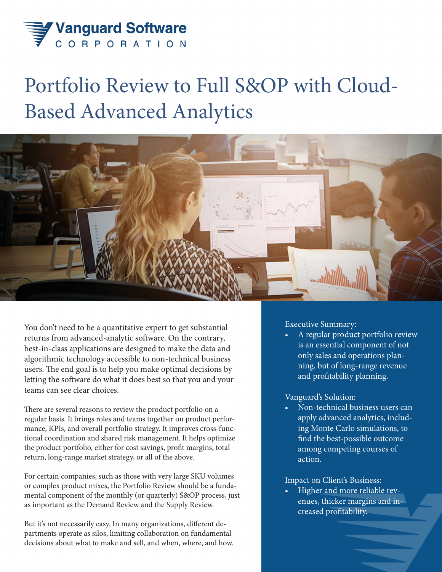

# Portfolio Review to Full S&OP with Cloud-Based Advanced Analytics



You don't need to be a quantitative expert to get substantial returns from advanced-analytic software. On the contrary, best-in-class applications are designed to make the data and algorithmic technology accessible to non-technical business users. The end goal is to help you make optimal decisions by letting the software do what it does best so that you and your teams can see clear choices.

There are several reasons to review the product portfolio on a regular basis. It brings roles and teams together on product performance, KPIs, and overall portfolio strategy. It improves cross-functional coordination and shared risk management. It helps optimize the product portfolio, either for cost savings, profit margins, total return, long-range market strategy, or all of the above.

For certain companies, such as those with very large SKU volumes or complex product mixes, the Portfolio Review should be a fundamental component of the monthly (or quarterly) S&OP process, just as important as the Demand Review and the Supply Review.

But it's not necessarily easy. In many organizations, different departments operate as silos, limiting collaboration on fundamental decisions about what to make and sell, and when, where, and how. Executive Summary:

• A regular product portfolio review is an essential component of not only sales and operations planning, but of long-range revenue and profitability planning.

## Vanguard's Solution:

• Non-technical business users can apply advanced analytics, including Monte Carlo simulations, to find the best-possible outcome among competing courses of action.

## Impact on Client's Business:

• Higher and more reliable revenues, thicker margins and increased profitability.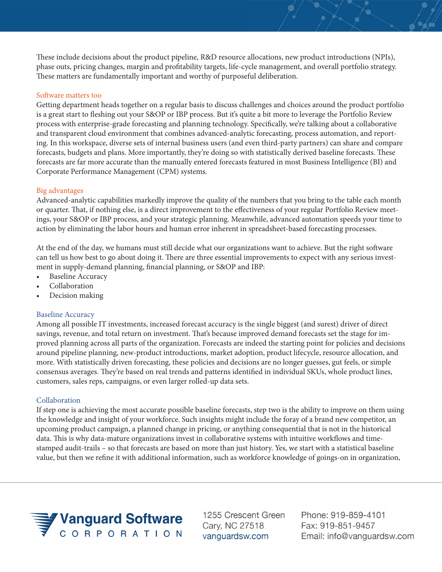These include decisions about the product pipeline, R&D resource allocations, new product introductions (NPIs), phase outs, pricing changes, margin and profitability targets, life-cycle management, and overall portfolio strategy. These matters are fundamentally important and worthy of purposeful deliberation.

#### Software matters too

Getting department heads together on a regular basis to discuss challenges and choices around the product portfolio is a great start to fleshing out your S&OP or IBP process. But it's quite a bit more to leverage the Portfolio Review process with enterprise-grade forecasting and planning technology. Specifically, we're talking about a collaborative and transparent cloud environment that combines advanced-analytic forecasting, process automation, and reporting. In this workspace, diverse sets of internal business users (and even third-party partners) can share and compare forecasts, budgets and plans. More importantly, they're doing so with statistically derived baseline forecasts. These forecasts are far more accurate than the manually entered forecasts featured in most Business Intelligence (BI) and Corporate Performance Management (CPM) systems.

#### Big advantages

Advanced-analytic capabilities markedly improve the quality of the numbers that you bring to the table each month or quarter. That, if nothing else, is a direct improvement to the effectiveness of your regular Portfolio Review meetings, your S&OP or IBP process, and your strategic planning. Meanwhile, advanced automation speeds your time to action by eliminating the labor hours and human error inherent in spreadsheet-based forecasting processes.

At the end of the day, we humans must still decide what our organizations want to achieve. But the right software can tell us how best to go about doing it. There are three essential improvements to expect with any serious investment in supply-demand planning, financial planning, or S&OP and IBP:

- Baseline Accuracy
- Collaboration
- Decision making

#### Baseline Accuracy

Among all possible IT investments, increased forecast accuracy is the single biggest (and surest) driver of direct savings, revenue, and total return on investment. That's because improved demand forecasts set the stage for improved planning across all parts of the organization. Forecasts are indeed the starting point for policies and decisions around pipeline planning, new-product introductions, market adoption, product lifecycle, resource allocation, and more. With statistically driven forecasting, these policies and decisions are no longer guesses, gut feels, or simple consensus averages. They're based on real trends and patterns identified in individual SKUs, whole product lines, customers, sales reps, campaigns, or even larger rolled-up data sets.

#### Collaboration

If step one is achieving the most accurate possible baseline forecasts, step two is the ability to improve on them using the knowledge and insight of your workforce. Such insights might include the foray of a brand new competitor, an upcoming product campaign, a planned change in pricing, or anything consequential that is not in the historical data. This is why data-mature organizations invest in collaborative systems with intuitive workflows and timestamped audit-trails – so that forecasts are based on more than just history. Yes, we start with a statistical baseline value, but then we refine it with additional information, such as workforce knowledge of goings-on in organization,



1255 Crescent Green Cary, NC 27518 vanguardsw.com

Phone: 919-859-4101 Fax: 919-851-9457 Email: info@vanguardsw.com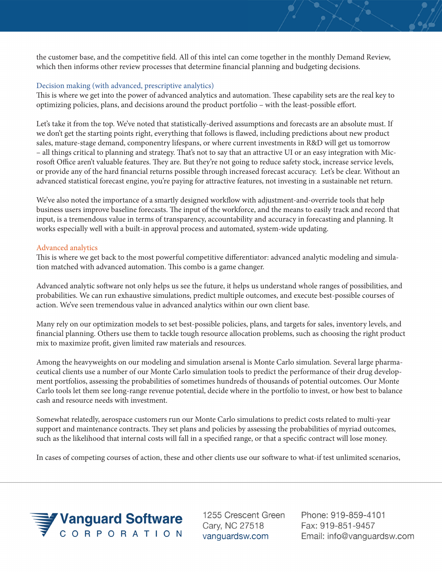the customer base, and the competitive field. All of this intel can come together in the monthly Demand Review, which then informs other review processes that determine financial planning and budgeting decisions.

### Decision making (with advanced, prescriptive analytics)

This is where we get into the power of advanced analytics and automation. These capability sets are the real key to optimizing policies, plans, and decisions around the product portfolio – with the least-possible effort.

Let's take it from the top. We've noted that statistically-derived assumptions and forecasts are an absolute must. If we don't get the starting points right, everything that follows is flawed, including predictions about new product sales, mature-stage demand, componentry lifespans, or where current investments in R&D will get us tomorrow – all things critical to planning and strategy. That's not to say that an attractive UI or an easy integration with Microsoft Office aren't valuable features. They are. But they're not going to reduce safety stock, increase service levels, or provide any of the hard financial returns possible through increased forecast accuracy. Let's be clear. Without an advanced statistical forecast engine, you're paying for attractive features, not investing in a sustainable net return.

We've also noted the importance of a smartly designed workflow with adjustment-and-override tools that help business users improve baseline forecasts. The input of the workforce, and the means to easily track and record that input, is a tremendous value in terms of transparency, accountability and accuracy in forecasting and planning. It works especially well with a built-in approval process and automated, system-wide updating.

#### Advanced analytics

This is where we get back to the most powerful competitive differentiator: advanced analytic modeling and simulation matched with advanced automation. This combo is a game changer.

Advanced analytic software not only helps us see the future, it helps us understand whole ranges of possibilities, and probabilities. We can run exhaustive simulations, predict multiple outcomes, and execute best-possible courses of action. We've seen tremendous value in advanced analytics within our own client base.

Many rely on our optimization models to set best-possible policies, plans, and targets for sales, inventory levels, and financial planning. Others use them to tackle tough resource allocation problems, such as choosing the right product mix to maximize profit, given limited raw materials and resources.

Among the heavyweights on our modeling and simulation arsenal is Monte Carlo simulation. Several large pharmaceutical clients use a number of our Monte Carlo simulation tools to predict the performance of their drug development portfolios, assessing the probabilities of sometimes hundreds of thousands of potential outcomes. Our Monte Carlo tools let them see long-range revenue potential, decide where in the portfolio to invest, or how best to balance cash and resource needs with investment.

Somewhat relatedly, aerospace customers run our Monte Carlo simulations to predict costs related to multi-year support and maintenance contracts. They set plans and policies by assessing the probabilities of myriad outcomes, such as the likelihood that internal costs will fall in a specified range, or that a specific contract will lose money.

In cases of competing courses of action, these and other clients use our software to what-if test unlimited scenarios,



1255 Crescent Green Cary, NC 27518 vanquardsw.com

Phone: 919-859-4101 Fax: 919-851-9457 Email: info@vanguardsw.com